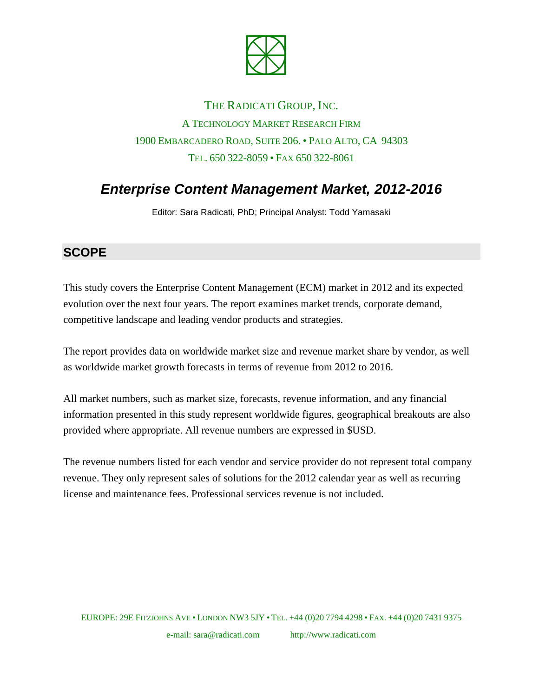

## THE RADICATI GROUP, INC. A TECHNOLOGY MARKET RESEARCH FIRM 1900 EMBARCADERO ROAD, SUITE 206. • PALO ALTO, CA 94303 TEL. 650 322-8059 • FAX 650 322-8061

# *Enterprise Content Management Market, 2012-2016*

Editor: Sara Radicati, PhD; Principal Analyst: Todd Yamasaki

#### **SCOPE**

This study covers the Enterprise Content Management (ECM) market in 2012 and its expected evolution over the next four years. The report examines market trends, corporate demand, competitive landscape and leading vendor products and strategies.

The report provides data on worldwide market size and revenue market share by vendor, as well as worldwide market growth forecasts in terms of revenue from 2012 to 2016.

All market numbers, such as market size, forecasts, revenue information, and any financial information presented in this study represent worldwide figures, geographical breakouts are also provided where appropriate. All revenue numbers are expressed in \$USD.

The revenue numbers listed for each vendor and service provider do not represent total company revenue. They only represent sales of solutions for the 2012 calendar year as well as recurring license and maintenance fees. Professional services revenue is not included.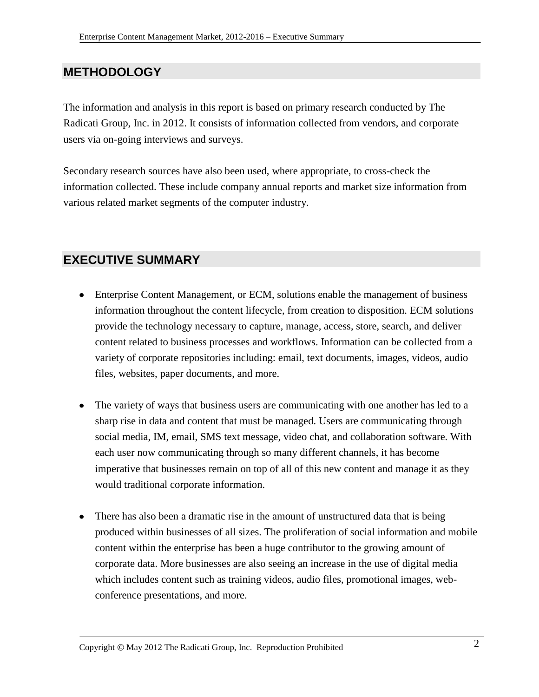## **METHODOLOGY**

The information and analysis in this report is based on primary research conducted by The Radicati Group, Inc. in 2012. It consists of information collected from vendors, and corporate users via on-going interviews and surveys.

Secondary research sources have also been used, where appropriate, to cross-check the information collected. These include company annual reports and market size information from various related market segments of the computer industry.

#### **EXECUTIVE SUMMARY**

- Enterprise Content Management, or ECM, solutions enable the management of business information throughout the content lifecycle, from creation to disposition. ECM solutions provide the technology necessary to capture, manage, access, store, search, and deliver content related to business processes and workflows. Information can be collected from a variety of corporate repositories including: email, text documents, images, videos, audio files, websites, paper documents, and more.
- The variety of ways that business users are communicating with one another has led to a sharp rise in data and content that must be managed. Users are communicating through social media, IM, email, SMS text message, video chat, and collaboration software. With each user now communicating through so many different channels, it has become imperative that businesses remain on top of all of this new content and manage it as they would traditional corporate information.
- There has also been a dramatic rise in the amount of unstructured data that is being produced within businesses of all sizes. The proliferation of social information and mobile content within the enterprise has been a huge contributor to the growing amount of corporate data. More businesses are also seeing an increase in the use of digital media which includes content such as training videos, audio files, promotional images, webconference presentations, and more.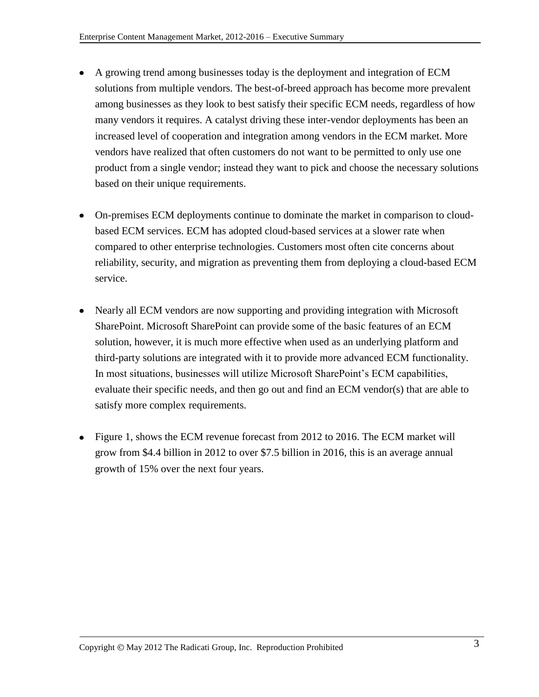- A growing trend among businesses today is the deployment and integration of ECM solutions from multiple vendors. The best-of-breed approach has become more prevalent among businesses as they look to best satisfy their specific ECM needs, regardless of how many vendors it requires. A catalyst driving these inter-vendor deployments has been an increased level of cooperation and integration among vendors in the ECM market. More vendors have realized that often customers do not want to be permitted to only use one product from a single vendor; instead they want to pick and choose the necessary solutions based on their unique requirements.
- On-premises ECM deployments continue to dominate the market in comparison to cloudbased ECM services. ECM has adopted cloud-based services at a slower rate when compared to other enterprise technologies. Customers most often cite concerns about reliability, security, and migration as preventing them from deploying a cloud-based ECM service.
- Nearly all ECM vendors are now supporting and providing integration with Microsoft SharePoint. Microsoft SharePoint can provide some of the basic features of an ECM solution, however, it is much more effective when used as an underlying platform and third-party solutions are integrated with it to provide more advanced ECM functionality. In most situations, businesses will utilize Microsoft SharePoint's ECM capabilities, evaluate their specific needs, and then go out and find an ECM vendor(s) that are able to satisfy more complex requirements.
- Figure 1, shows the ECM revenue forecast from 2012 to 2016. The ECM market will grow from \$4.4 billion in 2012 to over \$7.5 billion in 2016, this is an average annual growth of 15% over the next four years.